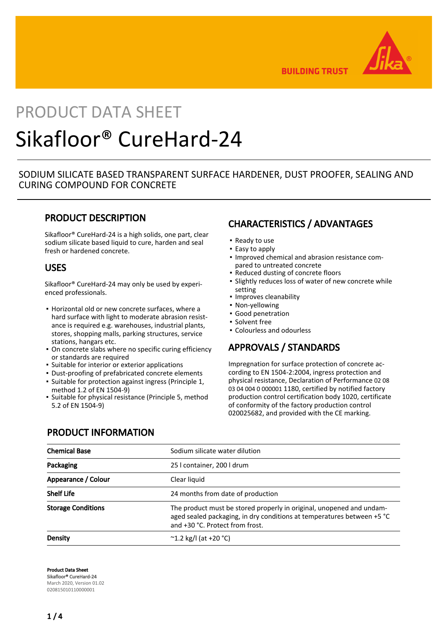

**BUILDING TRUST** 

# PRODUCT DATA SHEET Sikafloor® CureHard-24

## SODIUM SILICATE BASED TRANSPARENT SURFACE HARDENER, DUST PROOFER, SEALING AND CURING COMPOUND FOR CONCRETE

## PRODUCT DESCRIPTION

Sikafloor® CureHard-24 is a high solids, one part, clear sodium silicate based liquid to cure, harden and seal fresh or hardened concrete.

### USES

Sikafloor® CureHard-24 may only be used by experienced professionals.

- **Horizontal old or new concrete surfaces, where a** hard surface with light to moderate abrasion resistance is required e.g. warehouses, industrial plants, stores, shopping malls, parking structures, service stations, hangars etc.
- **On concrete slabs where no specific curing efficiency** or standards are required
- Suitable for interior or exterior applications
- Dust-proofing of prefabricated concrete elements
- Suitable for protection against ingress (Principle 1, method 1.2 of EN 1504-9)
- Suitable for physical resistance (Principle 5, method 5.2 of EN 1504-9)

# CHARACTERISTICS / ADVANTAGES

- Ready to use
- Easy to apply
- **.** Improved chemical and abrasion resistance compared to untreated concrete
- Reduced dusting of concrete floors
- **.** Slightly reduces loss of water of new concrete while setting
- Improves cleanability
- Non-yellowing
- Good penetration
- Solvent free
- Colourless and odourless

# APPROVALS / STANDARDS

Impregnation for surface protection of concrete according to EN 1504-2:2004, ingress protection and physical resistance, Declaration of Performance 02 08 03 04 004 0 000001 1180, certified by notified factory production control certification body 1020, certificate of conformity of the factory production control 020025682, and provided with the CE marking.

# PRODUCT INFORMATION

| <b>Chemical Base</b>      | Sodium silicate water dilution                                                                                                                                                    |  |
|---------------------------|-----------------------------------------------------------------------------------------------------------------------------------------------------------------------------------|--|
| Packaging                 | 25   container, 200   drum                                                                                                                                                        |  |
| Appearance / Colour       | Clear liquid                                                                                                                                                                      |  |
| <b>Shelf Life</b>         | 24 months from date of production                                                                                                                                                 |  |
| <b>Storage Conditions</b> | The product must be stored properly in original, unopened and undam-<br>aged sealed packaging, in dry conditions at temperatures between +5 °C<br>and +30 °C. Protect from frost. |  |
| Density                   | $^{\circ}$ 1.2 kg/l (at +20 $^{\circ}$ C)                                                                                                                                         |  |

Product Data Sheet Sikafloor® CureHard-24 March 2020, Version 01.02 020815010110000001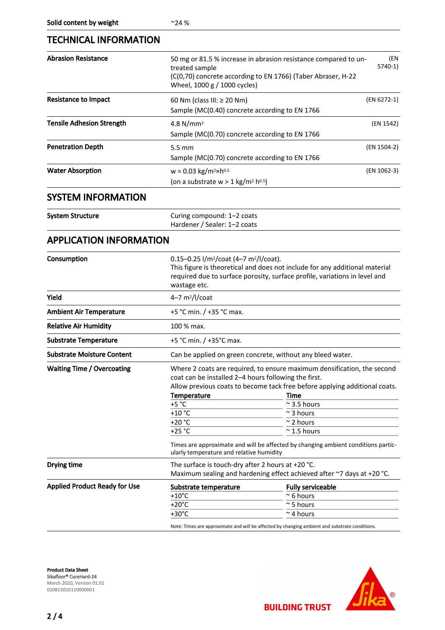# TECHNICAL INFORMATION

| I EUNINIUAL INFUKIVIA HUIN           |                                                                                                                                                                                                                                             |                                                                                                                                                                                                                                                                                                                                      |
|--------------------------------------|---------------------------------------------------------------------------------------------------------------------------------------------------------------------------------------------------------------------------------------------|--------------------------------------------------------------------------------------------------------------------------------------------------------------------------------------------------------------------------------------------------------------------------------------------------------------------------------------|
| <b>Abrasion Resistance</b>           | 50 mg or 81.5 % increase in abrasion resistance compared to un-<br>(EN<br>$5740-1$<br>treated sample<br>(C(0,70) concrete according to EN 1766) (Taber Abraser, H-22<br>Wheel, 1000 g / 1000 cycles)                                        |                                                                                                                                                                                                                                                                                                                                      |
| <b>Resistance to Impact</b>          | (EN 6272-1)<br>60 Nm (class III: $\geq$ 20 Nm)<br>Sample (MC(0.40) concrete according to EN 1766                                                                                                                                            |                                                                                                                                                                                                                                                                                                                                      |
| <b>Tensile Adhesion Strength</b>     | 4.8 $N/mm2$<br>(EN 1542)<br>Sample (MC(0.70) concrete according to EN 1766                                                                                                                                                                  |                                                                                                                                                                                                                                                                                                                                      |
| <b>Penetration Depth</b>             | (EN 1504-2)<br>$5.5 \text{ mm}$<br>Sample (MC(0.70) concrete according to EN 1766                                                                                                                                                           |                                                                                                                                                                                                                                                                                                                                      |
| <b>Water Absorption</b>              | $w = 0.03$ kg/m <sup>2</sup> ×h <sup>0.5</sup><br>(EN 1062-3)<br>(on a substrate $w > 1$ kg/m <sup>2</sup> h <sup>0.5</sup> )                                                                                                               |                                                                                                                                                                                                                                                                                                                                      |
| <b>SYSTEM INFORMATION</b>            |                                                                                                                                                                                                                                             |                                                                                                                                                                                                                                                                                                                                      |
| <b>System Structure</b>              | Curing compound: 1-2 coats<br>Hardener / Sealer: 1-2 coats                                                                                                                                                                                  |                                                                                                                                                                                                                                                                                                                                      |
| <b>APPLICATION INFORMATION</b>       |                                                                                                                                                                                                                                             |                                                                                                                                                                                                                                                                                                                                      |
| Consumption                          | 0.15-0.25 l/m <sup>2</sup> /coat (4-7 m <sup>2</sup> /l/coat).<br>This figure is theoretical and does not include for any additional material<br>required due to surface porosity, surface profile, variations in level and<br>wastage etc. |                                                                                                                                                                                                                                                                                                                                      |
| Yield                                | $4-7$ m <sup>2</sup> /l/coat                                                                                                                                                                                                                |                                                                                                                                                                                                                                                                                                                                      |
| <b>Ambient Air Temperature</b>       | +5 °C min. / +35 °C max.                                                                                                                                                                                                                    |                                                                                                                                                                                                                                                                                                                                      |
| <b>Relative Air Humidity</b>         | 100 % max.                                                                                                                                                                                                                                  |                                                                                                                                                                                                                                                                                                                                      |
| <b>Substrate Temperature</b>         | +5 °C min. / +35°C max.                                                                                                                                                                                                                     |                                                                                                                                                                                                                                                                                                                                      |
| <b>Substrate Moisture Content</b>    | Can be applied on green concrete, without any bleed water.                                                                                                                                                                                  |                                                                                                                                                                                                                                                                                                                                      |
| <b>Waiting Time / Overcoating</b>    | coat can be installed 2–4 hours following the first.<br><b>Temperature</b><br>$+5 °C$<br>$+10 °C$<br>+20 °C<br>+25 °C<br>ularly temperature and relative humidity                                                                           | Where 2 coats are required, to ensure maximum densification, the second<br>Allow previous coats to become tack free before applying additional coats.<br>Time<br>$\approx$ 3.5 hours<br>$\sim$ 3 hours<br>$\sim$ 2 hours<br>$\approx$ 1.5 hours<br>Times are approximate and will be affected by changing ambient conditions partic- |
| Drying time                          | The surface is touch-dry after 2 hours at +20 $^{\circ}$ C.<br>Maximum sealing and hardening effect achieved after ~7 days at +20 °C.                                                                                                       |                                                                                                                                                                                                                                                                                                                                      |
| <b>Applied Product Ready for Use</b> | Substrate temperature<br>$+10^{\circ}$ C<br>$+20^{\circ}$ C<br>$+30^{\circ}$ C<br>Note: Times are approximate and will be affected by changing ambient and substrate conditions.                                                            | <b>Fully serviceable</b><br>$\approx$ 6 hours<br>$\sim$ 5 hours<br>$\sim$ 4 hours                                                                                                                                                                                                                                                    |



**BUILDING TRUST** 

 $2/4$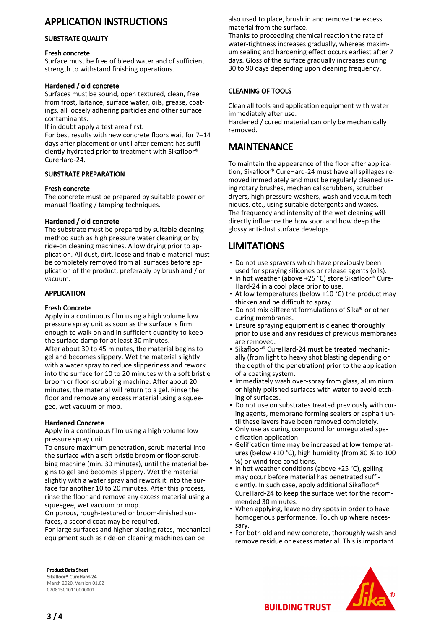# APPLICATION INSTRUCTIONS

#### SUBSTRATE QUALITY

#### Fresh concrete

Surface must be free of bleed water and of sufficient strength to withstand finishing operations.

#### Hardened / old concrete

Surfaces must be sound, open textured, clean, free from frost, laitance, surface water, oils, grease, coatings, all loosely adhering particles and other surface contaminants.

If in doubt apply a test area first.

For best results with new concrete floors wait for 7–14 days after placement or until after cement has sufficiently hydrated prior to treatment with Sikafloor® CureHard-24.

#### SUBSTRATE PREPARATION

#### Fresh concrete

The concrete must be prepared by suitable power or manual floating / tamping techniques.

#### Hardened / old concrete

The substrate must be prepared by suitable cleaning method such as high pressure water cleaning or by ride-on cleaning machines. Allow drying prior to application. All dust, dirt, loose and friable material must be completely removed from all surfaces before application of the product, preferably by brush and / or vacuum.

#### APPLICATION

#### Fresh Concrete

Apply in a continuous film using a high volume low pressure spray unit as soon as the surface is firm enough to walk on and in sufficient quantity to keep the surface damp for at least 30 minutes. After about 30 to 45 minutes, the material begins to gel and becomes slippery. Wet the material slightly with a water spray to reduce slipperiness and rework into the surface for 10 to 20 minutes with a soft bristle broom or floor-scrubbing machine. After about 20 minutes, the material will return to a gel. Rinse the floor and remove any excess material using a squeegee, wet vacuum or mop.

#### Hardened Concrete

Apply in a continuous film using a high volume low pressure spray unit.

To ensure maximum penetration, scrub material into the surface with a soft bristle broom or floor-scrubbing machine (min. 30 minutes), until the material begins to gel and becomes slippery. Wet the material slightly with a water spray and rework it into the surface for another 10 to 20 minutes. After this process, rinse the floor and remove any excess material using a squeegee, wet vacuum or mop.

On porous, rough-textured or broom-finished surfaces, a second coat may be required.

For large surfaces and higher placing rates, mechanical equipment such as ride-on cleaning machines can be

also used to place, brush in and remove the excess material from the surface.

Thanks to proceeding chemical reaction the rate of water-tightness increases gradually, whereas maximum sealing and hardening effect occurs earliest after 7 days. Gloss of the surface gradually increases during 30 to 90 days depending upon cleaning frequency.

#### CLEANING OF TOOLS

Clean all tools and application equipment with water immediately after use.

Hardened / cured material can only be mechanically removed.

## MAINTENANCE

To maintain the appearance of the floor after application, Sikafloor® CureHard-24 must have all spillages removed immediately and must be regularly cleaned using rotary brushes, mechanical scrubbers, scrubber dryers, high pressure washers, wash and vacuum techniques, etc., using suitable detergents and waxes. The frequency and intensity of the wet cleaning will directly influence the how soon and how deep the glossy anti-dust surface develops.

# LIMITATIONS

- Do not use sprayers which have previously been used for spraying silicones or release agents (oils).
- In hot weather (above +25 °C) store Sikafloor® Cure-Hard-24 in a cool place prior to use.
- At low temperatures (below +10 °C) the product may thicken and be difficult to spray. ▪
- Do not mix different formulations of Sika® or other curing membranes.
- Ensure spraying equipment is cleaned thoroughly prior to use and any residues of previous membranes are removed.
- Sikafloor® CureHard-24 must be treated mechanically (from light to heavy shot blasting depending on the depth of the penetration) prior to the application of a coating system.
- **.** Immediately wash over-spray from glass, aluminium or highly polished surfaces with water to avoid etching of surfaces.
- Do not use on substrates treated previously with cur-▪ ing agents, membrane forming sealers or asphalt until these layers have been removed completely.
- Only use as curing compound for unregulated specification application. ▪
- Gelification time may be increased at low temperatures (below +10 °C), high humidity (from 80 % to 100 %) or wind free conditions. ▪
- In hot weather conditions (above +25 °C), gelling may occur before material has penetrated sufficiently. In such case, apply additional Sikafloor® CureHard-24 to keep the surface wet for the recommended 30 minutes.
- When applying, leave no dry spots in order to have homogenous performance. Touch up where necessary.
- **.** For both old and new concrete, thoroughly wash and remove residue or excess material. This is important

Product Data Sheet Sikafloor® CureHard-24 March 2020, Version 01.02 020815010110000001



3 / 4

**BUILDING TRUST**